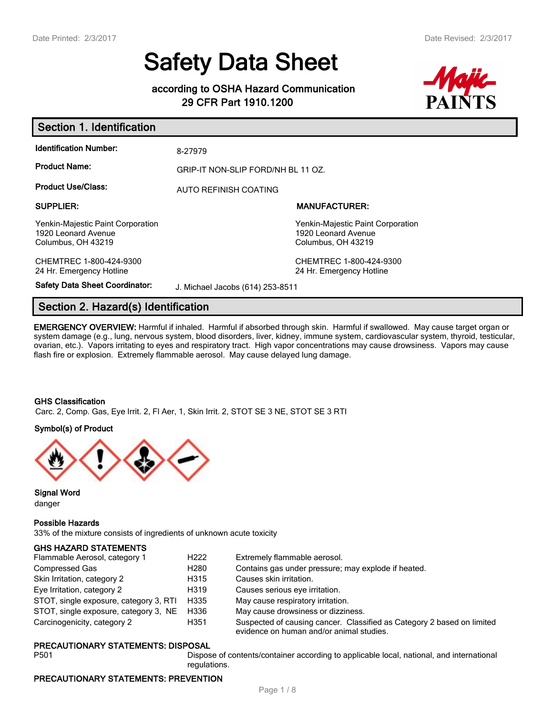# **Safety Data Sheet**

# **according to OSHA Hazard Communication 29 CFR Part 1910.1200**



| <b>Identification Number:</b>                                                  | 8-27979                          |                                                                                |  |  |
|--------------------------------------------------------------------------------|----------------------------------|--------------------------------------------------------------------------------|--|--|
| <b>Product Name:</b>                                                           |                                  | GRIP-IT NON-SLIP FORD/NH BL 11 OZ.                                             |  |  |
| <b>Product Use/Class:</b>                                                      | AUTO REFINISH COATING            |                                                                                |  |  |
| <b>SUPPLIER:</b>                                                               |                                  | <b>MANUFACTURER:</b>                                                           |  |  |
| Yenkin-Majestic Paint Corporation<br>1920 Leonard Avenue<br>Columbus, OH 43219 |                                  | Yenkin-Majestic Paint Corporation<br>1920 Leonard Avenue<br>Columbus, OH 43219 |  |  |
| CHEMTREC 1-800-424-9300<br>24 Hr. Emergency Hotline                            |                                  | CHEMTREC 1-800-424-9300<br>24 Hr. Emergency Hotline                            |  |  |
| <b>Safety Data Sheet Coordinator:</b>                                          | J. Michael Jacobs (614) 253-8511 |                                                                                |  |  |

# **Section 2. Hazard(s) Identification**

**EMERGENCY OVERVIEW:** Harmful if inhaled. Harmful if absorbed through skin. Harmful if swallowed. May cause target organ or system damage (e.g., lung, nervous system, blood disorders, liver, kidney, immune system, cardiovascular system, thyroid, testicular, ovarian, etc.). Vapors irritating to eyes and respiratory tract. High vapor concentrations may cause drowsiness. Vapors may cause flash fire or explosion. Extremely flammable aerosol. May cause delayed lung damage.

#### **GHS Classification**

Carc. 2, Comp. Gas, Eye Irrit. 2, Fl Aer, 1, Skin Irrit. 2, STOT SE 3 NE, STOT SE 3 RTI

#### **Symbol(s) of Product**



**Signal Word** danger

#### **Possible Hazards**

33% of the mixture consists of ingredients of unknown acute toxicity

#### **GHS HAZARD STATEMENTS**

| Flammable Aerosol, category 1          | H <sub>222</sub> | Extremely flammable aerosol.                                                                                       |
|----------------------------------------|------------------|--------------------------------------------------------------------------------------------------------------------|
| Compressed Gas                         | H280             | Contains gas under pressure; may explode if heated.                                                                |
| Skin Irritation, category 2            | H315             | Causes skin irritation.                                                                                            |
| Eye Irritation, category 2             | H319             | Causes serious eye irritation.                                                                                     |
| STOT, single exposure, category 3, RTI | H335             | May cause respiratory irritation.                                                                                  |
| STOT, single exposure, category 3, NE  | H336             | May cause drowsiness or dizziness.                                                                                 |
| Carcinogenicity, category 2            | H351             | Suspected of causing cancer. Classified as Category 2 based on limited<br>evidence on human and/or animal studies. |

#### **PRECAUTIONARY STATEMENTS: DISPOSAL**

P501 Dispose of contents/container according to applicable local, national, and international regulations.

#### **PRECAUTIONARY STATEMENTS: PREVENTION**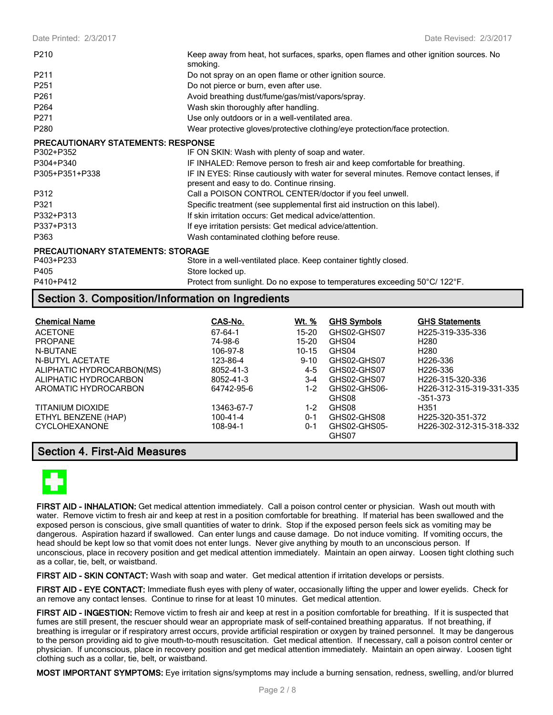| P210                                      | Keep away from heat, hot surfaces, sparks, open flames and other ignition sources. No<br>smoking.                                   |
|-------------------------------------------|-------------------------------------------------------------------------------------------------------------------------------------|
| P <sub>211</sub>                          | Do not spray on an open flame or other ignition source.                                                                             |
| P251                                      | Do not pierce or burn, even after use.                                                                                              |
| P261                                      | Avoid breathing dust/fume/gas/mist/vapors/spray.                                                                                    |
| P <sub>264</sub>                          | Wash skin thoroughly after handling.                                                                                                |
| P <sub>271</sub>                          | Use only outdoors or in a well-ventilated area.                                                                                     |
| P <sub>280</sub>                          | Wear protective gloves/protective clothing/eye protection/face protection.                                                          |
| <b>PRECAUTIONARY STATEMENTS: RESPONSE</b> |                                                                                                                                     |
| P302+P352                                 | IF ON SKIN: Wash with plenty of soap and water.                                                                                     |
| P304+P340                                 | IF INHALED: Remove person to fresh air and keep comfortable for breathing.                                                          |
| P305+P351+P338                            | IF IN EYES: Rinse cautiously with water for several minutes. Remove contact lenses, if<br>present and easy to do. Continue rinsing. |
| P312                                      | Call a POISON CONTROL CENTER/doctor if you feel unwell.                                                                             |
| P321                                      | Specific treatment (see supplemental first aid instruction on this label).                                                          |
| P332+P313                                 | If skin irritation occurs: Get medical advice/attention.                                                                            |
| P337+P313                                 | If eye irritation persists: Get medical advice/attention.                                                                           |
| P363                                      | Wash contaminated clothing before reuse.                                                                                            |
| <b>PRECAUTIONARY STATEMENTS: STORAGE</b>  |                                                                                                                                     |
| P403+P233                                 | Store in a well-ventilated place. Keep container tightly closed.                                                                    |
| P405                                      | Store locked up.                                                                                                                    |
| P410+P412                                 | Protect from sunlight. Do no expose to temperatures exceeding 50°C/ 122°F.                                                          |

# **Section 3. Composition/Information on Ingredients**

| <b>Chemical Name</b>      | CAS-No.        | Wt. %     | <b>GHS Symbols</b>    | <b>GHS Statements</b>         |
|---------------------------|----------------|-----------|-----------------------|-------------------------------|
| <b>ACETONE</b>            | 67-64-1        | 15-20     | GHS02-GHS07           | H <sub>225</sub> -319-335-336 |
| <b>PROPANE</b>            | 74-98-6        | 15-20     | GHS04                 | H <sub>280</sub>              |
| N-BUTANE                  | 106-97-8       | $10 - 15$ | GHS04                 | H <sub>280</sub>              |
| N-BUTYL ACETATE           | 123-86-4       | $9 - 10$  | GHS02-GHS07           | H226-336                      |
| ALIPHATIC HYDROCARBON(MS) | 8052-41-3      | 4-5       | GHS02-GHS07           | H <sub>226</sub> -336         |
| ALIPHATIC HYDROCARBON     | 8052-41-3      | $3-4$     | GHS02-GHS07           | H <sub>226</sub> -315-320-336 |
| AROMATIC HYDROCARBON      | 64742-95-6     | $1-2$     | GHS02-GHS06-          | H226-312-315-319-331-335      |
|                           |                |           | GHS08                 | $-351-373$                    |
| TITANIUM DIOXIDE          | 13463-67-7     | 1-2       | GHS08                 | H <sub>351</sub>              |
| ETHYL BENZENE (HAP)       | $100 - 41 - 4$ | $0 - 1$   | GHS02-GHS08           | H <sub>225</sub> -320-351-372 |
| <b>CYCLOHEXANONE</b>      | 108-94-1       | $0 - 1$   | GHS02-GHS05-<br>GHS07 | H226-302-312-315-318-332      |

### **Section 4. First-Aid Measures**



**FIRST AID - INHALATION:** Get medical attention immediately. Call a poison control center or physician. Wash out mouth with water. Remove victim to fresh air and keep at rest in a position comfortable for breathing. If material has been swallowed and the exposed person is conscious, give small quantities of water to drink. Stop if the exposed person feels sick as vomiting may be dangerous. Aspiration hazard if swallowed. Can enter lungs and cause damage. Do not induce vomiting. If vomiting occurs, the head should be kept low so that vomit does not enter lungs. Never give anything by mouth to an unconscious person. If unconscious, place in recovery position and get medical attention immediately. Maintain an open airway. Loosen tight clothing such as a collar, tie, belt, or waistband.

**FIRST AID - SKIN CONTACT:** Wash with soap and water. Get medical attention if irritation develops or persists.

**FIRST AID - EYE CONTACT:** Immediate flush eyes with pleny of water, occasionally lifting the upper and lower eyelids. Check for an remove any contact lenses. Continue to rinse for at least 10 minutes. Get medical attention.

**FIRST AID - INGESTION:** Remove victim to fresh air and keep at rest in a position comfortable for breathing. If it is suspected that fumes are still present, the rescuer should wear an appropriate mask of self-contained breathing apparatus. If not breathing, if breathing is irregular or if respiratory arrest occurs, provide artificial respiration or oxygen by trained personnel. It may be dangerous to the person providing aid to give mouth-to-mouth resuscitation. Get medical attention. If necessary, call a poison control center or physician. If unconscious, place in recovery position and get medical attention immediately. Maintain an open airway. Loosen tight clothing such as a collar, tie, belt, or waistband.

**MOST IMPORTANT SYMPTOMS:** Eye irritation signs/symptoms may include a burning sensation, redness, swelling, and/or blurred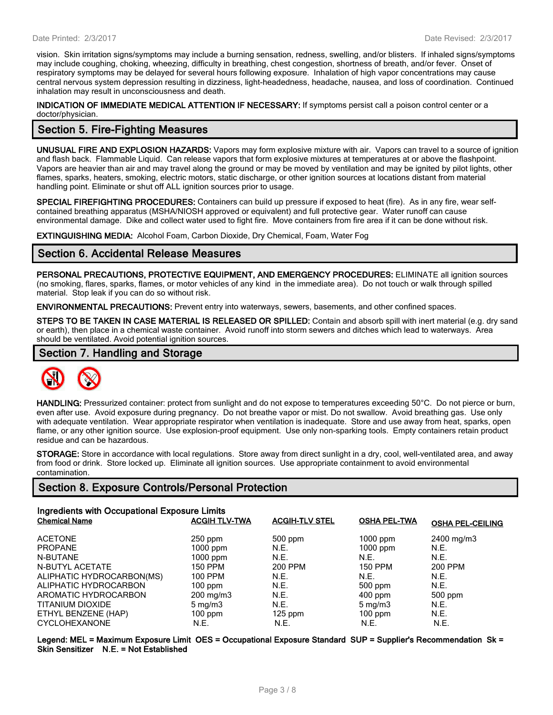vision. Skin irritation signs/symptoms may include a burning sensation, redness, swelling, and/or blisters. If inhaled signs/symptoms may include coughing, choking, wheezing, difficulty in breathing, chest congestion, shortness of breath, and/or fever. Onset of respiratory symptoms may be delayed for several hours following exposure. Inhalation of high vapor concentrations may cause central nervous system depression resulting in dizziness, light-headedness, headache, nausea, and loss of coordination. Continued inhalation may result in unconsciousness and death.

**INDICATION OF IMMEDIATE MEDICAL ATTENTION IF NECESSARY:** If symptoms persist call a poison control center or a doctor/physician.

## **Section 5. Fire-Fighting Measures**

**UNUSUAL FIRE AND EXPLOSION HAZARDS:** Vapors may form explosive mixture with air. Vapors can travel to a source of ignition and flash back. Flammable Liquid. Can release vapors that form explosive mixtures at temperatures at or above the flashpoint. Vapors are heavier than air and may travel along the ground or may be moved by ventilation and may be ignited by pilot lights, other flames, sparks, heaters, smoking, electric motors, static discharge, or other ignition sources at locations distant from material handling point. Eliminate or shut off ALL ignition sources prior to usage.

**SPECIAL FIREFIGHTING PROCEDURES:** Containers can build up pressure if exposed to heat (fire). As in any fire, wear selfcontained breathing apparatus (MSHA/NIOSH approved or equivalent) and full protective gear. Water runoff can cause environmental damage. Dike and collect water used to fight fire. Move containers from fire area if it can be done without risk.

**EXTINGUISHING MEDIA:** Alcohol Foam, Carbon Dioxide, Dry Chemical, Foam, Water Fog

### **Section 6. Accidental Release Measures**

**PERSONAL PRECAUTIONS, PROTECTIVE EQUIPMENT, AND EMERGENCY PROCEDURES:** ELIMINATE all ignition sources (no smoking, flares, sparks, flames, or motor vehicles of any kind in the immediate area). Do not touch or walk through spilled material. Stop leak if you can do so without risk.

**ENVIRONMENTAL PRECAUTIONS:** Prevent entry into waterways, sewers, basements, and other confined spaces.

**STEPS TO BE TAKEN IN CASE MATERIAL IS RELEASED OR SPILLED:** Contain and absorb spill with inert material (e.g. dry sand or earth), then place in a chemical waste container. Avoid runoff into storm sewers and ditches which lead to waterways. Area should be ventilated. Avoid potential ignition sources.

# **Section 7. Handling and Storage**



**HANDLING:** Pressurized container: protect from sunlight and do not expose to temperatures exceeding 50°C. Do not pierce or burn, even after use. Avoid exposure during pregnancy. Do not breathe vapor or mist. Do not swallow. Avoid breathing gas. Use only with adequate ventilation. Wear appropriate respirator when ventilation is inadequate. Store and use away from heat, sparks, open flame, or any other ignition source. Use explosion-proof equipment. Use only non-sparking tools. Empty containers retain product residue and can be hazardous.

**STORAGE:** Store in accordance with local regulations. Store away from direct sunlight in a dry, cool, well-ventilated area, and away from food or drink. Store locked up. Eliminate all ignition sources. Use appropriate containment to avoid environmental contamination.

# **Section 8. Exposure Controls/Personal Protection**

| Ingredients with Occupational Exposure Limits |                      |                       |                     |                         |  |
|-----------------------------------------------|----------------------|-----------------------|---------------------|-------------------------|--|
| <b>Chemical Name</b>                          | <b>ACGIH TLV-TWA</b> | <b>ACGIH-TLV STEL</b> | <b>OSHA PEL-TWA</b> | <b>OSHA PEL-CEILING</b> |  |
| <b>ACETONE</b>                                | $250$ ppm            | $500$ ppm             | $1000$ ppm          | 2400 mg/m3              |  |
| <b>PROPANE</b>                                | $1000$ ppm           | N.E.                  | $1000$ ppm          | N.E.                    |  |
| N-BUTANE                                      | $1000$ ppm           | N.E.                  | N.E.                | N.E.                    |  |
| N-BUTYL ACETATE                               | <b>150 PPM</b>       | 200 PPM               | <b>150 PPM</b>      | 200 PPM                 |  |
| ALIPHATIC HYDROCARBON(MS)                     | 100 PPM              | N.E.                  | N.E.                | N.E.                    |  |
| ALIPHATIC HYDROCARBON                         | $100$ ppm            | N.E.                  | $500$ ppm           | N.E.                    |  |
| AROMATIC HYDROCARBON                          | 200 mg/m3            | N.E.                  | $400$ ppm           | 500 ppm                 |  |
| TITANIUM DIOXIDE                              | $5 \,\mathrm{mg/m}$  | N.E.                  | $5 \,\mathrm{mq/m}$ | N.E.                    |  |
| ETHYL BENZENE (HAP)                           | $100$ ppm            | $125$ ppm             | $100$ ppm           | N.E.                    |  |
| <b>CYCLOHEXANONE</b>                          | N.E.                 | N.E.                  | N.E.                | N.E.                    |  |

**Legend: MEL = Maximum Exposure Limit OES = Occupational Exposure Standard SUP = Supplier's Recommendation Sk = Skin Sensitizer N.E. = Not Established**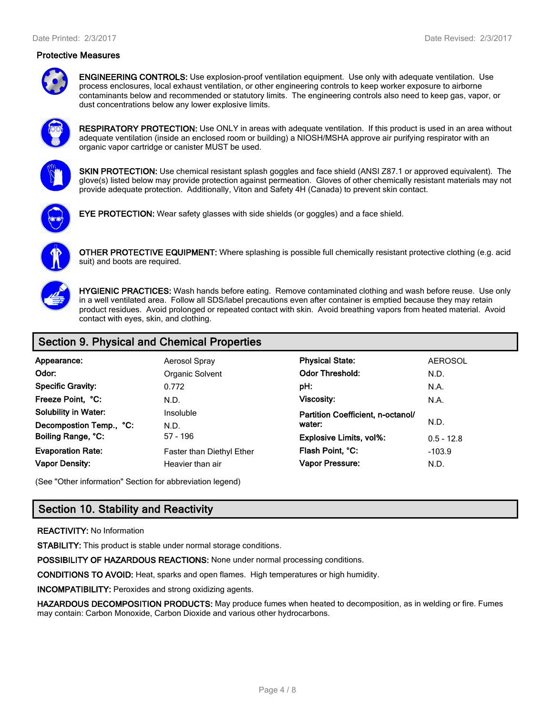#### **Protective Measures**



**ENGINEERING CONTROLS:** Use explosion-proof ventilation equipment. Use only with adequate ventilation. Use process enclosures, local exhaust ventilation, or other engineering controls to keep worker exposure to airborne contaminants below and recommended or statutory limits. The engineering controls also need to keep gas, vapor, or dust concentrations below any lower explosive limits.



**RESPIRATORY PROTECTION:** Use ONLY in areas with adequate ventilation. If this product is used in an area without adequate ventilation (inside an enclosed room or building) a NIOSH/MSHA approve air purifying respirator with an organic vapor cartridge or canister MUST be used.



**SKIN PROTECTION:** Use chemical resistant splash goggles and face shield (ANSI Z87.1 or approved equivalent). The glove(s) listed below may provide protection against permeation. Gloves of other chemically resistant materials may not provide adequate protection. Additionally, Viton and Safety 4H (Canada) to prevent skin contact.



**EYE PROTECTION:** Wear safety glasses with side shields (or goggles) and a face shield.



**OTHER PROTECTIVE EQUIPMENT:** Where splashing is possible full chemically resistant protective clothing (e.g. acid suit) and boots are required.



**HYGIENIC PRACTICES:** Wash hands before eating. Remove contaminated clothing and wash before reuse. Use only in a well ventilated area. Follow all SDS/label precautions even after container is emptied because they may retain product residues. Avoid prolonged or repeated contact with skin. Avoid breathing vapors from heated material. Avoid contact with eyes, skin, and clothing.

# **Section 9. Physical and Chemical Properties**

| Appearance:                                                                 | Aerosol Spray                    | <b>Physical State:</b>                                           | <b>AEROSOL</b> |
|-----------------------------------------------------------------------------|----------------------------------|------------------------------------------------------------------|----------------|
| Odor:                                                                       | Organic Solvent                  | <b>Odor Threshold:</b>                                           | N.D.           |
| <b>Specific Gravity:</b>                                                    | 0.772                            | pH:                                                              | N.A.           |
| Freeze Point, °C:<br><b>Solubility in Water:</b><br>Decompostion Temp., °C: | N.D.<br><b>Insoluble</b><br>N.D. | <b>Viscosity:</b><br>Partition Coefficient, n-octanol/<br>water: | N.A.<br>N.D.   |
| Boiling Range, °C:                                                          | $57 - 196$                       | <b>Explosive Limits, vol%:</b>                                   | $0.5 - 12.8$   |
| <b>Evaporation Rate:</b>                                                    | Faster than Diethyl Ether        | Flash Point, °C:                                                 | $-103.9$       |
| <b>Vapor Density:</b>                                                       | Heavier than air                 | <b>Vapor Pressure:</b>                                           | N.D.           |

(See "Other information" Section for abbreviation legend)

# **Section 10. Stability and Reactivity**

#### **REACTIVITY:** No Information

**STABILITY:** This product is stable under normal storage conditions.

**POSSIBILITY OF HAZARDOUS REACTIONS:** None under normal processing conditions.

**CONDITIONS TO AVOID:** Heat, sparks and open flames. High temperatures or high humidity.

**INCOMPATIBILITY:** Peroxides and strong oxidizing agents.

**HAZARDOUS DECOMPOSITION PRODUCTS:** May produce fumes when heated to decomposition, as in welding or fire. Fumes may contain: Carbon Monoxide, Carbon Dioxide and various other hydrocarbons.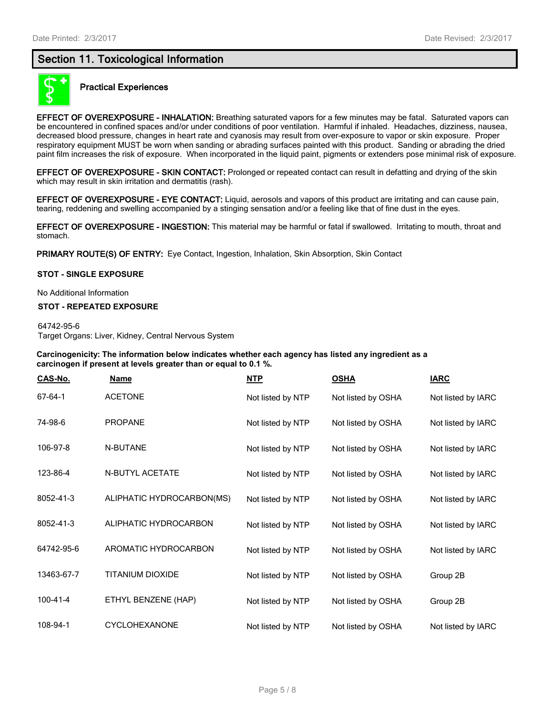# **Section 11. Toxicological Information**



#### **Practical Experiences**

**EFFECT OF OVEREXPOSURE - INHALATION:** Breathing saturated vapors for a few minutes may be fatal. Saturated vapors can be encountered in confined spaces and/or under conditions of poor ventilation. Harmful if inhaled. Headaches, dizziness, nausea, decreased blood pressure, changes in heart rate and cyanosis may result from over-exposure to vapor or skin exposure. Proper respiratory equipment MUST be worn when sanding or abrading surfaces painted with this product. Sanding or abrading the dried paint film increases the risk of exposure. When incorporated in the liquid paint, pigments or extenders pose minimal risk of exposure.

**EFFECT OF OVEREXPOSURE - SKIN CONTACT:** Prolonged or repeated contact can result in defatting and drying of the skin which may result in skin irritation and dermatitis (rash).

**EFFECT OF OVEREXPOSURE - EYE CONTACT:** Liquid, aerosols and vapors of this product are irritating and can cause pain, tearing, reddening and swelling accompanied by a stinging sensation and/or a feeling like that of fine dust in the eyes.

**EFFECT OF OVEREXPOSURE - INGESTION:** This material may be harmful or fatal if swallowed. Irritating to mouth, throat and stomach.

PRIMARY ROUTE(S) OF ENTRY: Eye Contact, Ingestion, Inhalation, Skin Absorption, Skin Contact

#### **STOT - SINGLE EXPOSURE**

No Additional Information

#### **STOT - REPEATED EXPOSURE**

64742-95-6 Target Organs: Liver, Kidney, Central Nervous System

**Carcinogenicity: The information below indicates whether each agency has listed any ingredient as a carcinogen if present at levels greater than or equal to 0.1 %.**

| <u>CAS-No.</u> | <b>Name</b>               | <u>NTP</u>        | <u>OSHA</u>        | <b>IARC</b>        |
|----------------|---------------------------|-------------------|--------------------|--------------------|
| 67-64-1        | <b>ACETONE</b>            | Not listed by NTP | Not listed by OSHA | Not listed by IARC |
| 74-98-6        | <b>PROPANE</b>            | Not listed by NTP | Not listed by OSHA | Not listed by IARC |
| 106-97-8       | N-BUTANE                  | Not listed by NTP | Not listed by OSHA | Not listed by IARC |
| 123-86-4       | <b>N-BUTYL ACETATE</b>    | Not listed by NTP | Not listed by OSHA | Not listed by IARC |
| 8052-41-3      | ALIPHATIC HYDROCARBON(MS) | Not listed by NTP | Not listed by OSHA | Not listed by IARC |
| 8052-41-3      | ALIPHATIC HYDROCARBON     | Not listed by NTP | Not listed by OSHA | Not listed by IARC |
| 64742-95-6     | AROMATIC HYDROCARBON      | Not listed by NTP | Not listed by OSHA | Not listed by IARC |
| 13463-67-7     | <b>TITANIUM DIOXIDE</b>   | Not listed by NTP | Not listed by OSHA | Group 2B           |
| $100 - 41 - 4$ | ETHYL BENZENE (HAP)       | Not listed by NTP | Not listed by OSHA | Group 2B           |
| 108-94-1       | <b>CYCLOHEXANONE</b>      | Not listed by NTP | Not listed by OSHA | Not listed by IARC |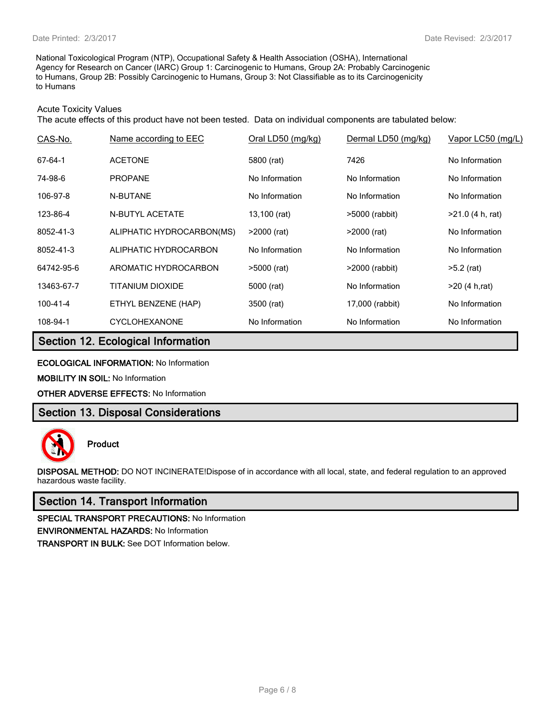National Toxicological Program (NTP), Occupational Safety & Health Association (OSHA), International Agency for Research on Cancer (IARC) Group 1: Carcinogenic to Humans, Group 2A: Probably Carcinogenic to Humans, Group 2B: Possibly Carcinogenic to Humans, Group 3: Not Classifiable as to its Carcinogenicity to Humans

#### Acute Toxicity Values

The acute effects of this product have not been tested. Data on individual components are tabulated below:

| CAS-No.        | Name according to EEC     | Oral LD50 (mg/kg) | Dermal LD50 (mg/kg) | Vapor LC50 (mg/L)  |
|----------------|---------------------------|-------------------|---------------------|--------------------|
| 67-64-1        | <b>ACETONE</b>            | 5800 (rat)        | 7426                | No Information     |
| 74-98-6        | <b>PROPANE</b>            | No Information    | No Information      | No Information     |
| 106-97-8       | N-BUTANE                  | No Information    | No Information      | No Information     |
| 123-86-4       | <b>N-BUTYL ACETATE</b>    | 13,100 (rat)      | >5000 (rabbit)      | $>21.0$ (4 h, rat) |
| 8052-41-3      | ALIPHATIC HYDROCARBON(MS) | $>2000$ (rat)     | $>2000$ (rat)       | No Information     |
| 8052-41-3      | ALIPHATIC HYDROCARBON     | No Information    | No Information      | No Information     |
| 64742-95-6     | AROMATIC HYDROCARBON      | $>5000$ (rat)     | >2000 (rabbit)      | $>5.2$ (rat)       |
| 13463-67-7     | TITANIUM DIOXIDE          | 5000 (rat)        | No Information      | >20(4 h, rat)      |
| $100 - 41 - 4$ | ETHYL BENZENE (HAP)       | 3500 (rat)        | 17,000 (rabbit)     | No Information     |
| 108-94-1       | <b>CYCLOHEXANONE</b>      | No Information    | No Information      | No Information     |

# **Section 12. Ecological Information**

**ECOLOGICAL INFORMATION:** No Information

**MOBILITY IN SOIL:** No Information

**OTHER ADVERSE EFFECTS:** No Information

# **Section 13. Disposal Considerations**



**Product**

**DISPOSAL METHOD:** DO NOT INCINERATE!Dispose of in accordance with all local, state, and federal regulation to an approved hazardous waste facility.

### **Section 14. Transport Information**

**SPECIAL TRANSPORT PRECAUTIONS:** No Information **ENVIRONMENTAL HAZARDS:** No Information **TRANSPORT IN BULK:** See DOT Information below.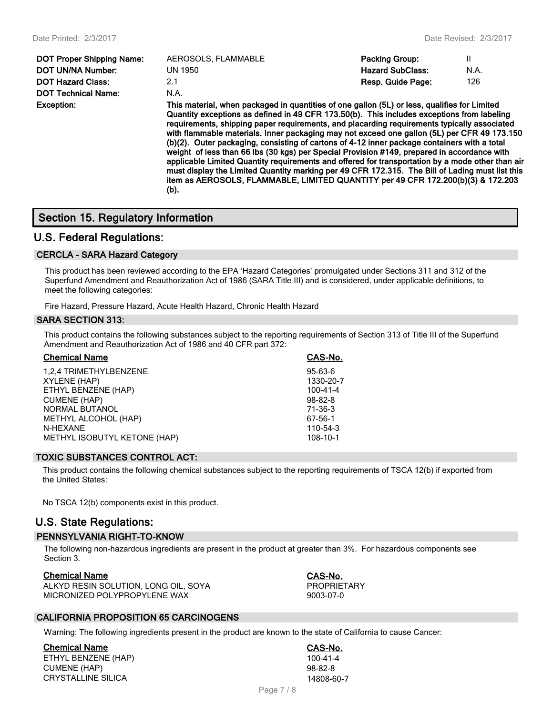| <b>Exception:</b>                | This |
|----------------------------------|------|
| <b>DOT Technical Name:</b>       | N.A. |
| <b>DOT Hazard Class:</b>         | 21   |
| <b>DOT UN/NA Number:</b>         | UN : |
| <b>DOT Proper Shipping Name:</b> | AER  |

| <b>DOT Proper Shipping Name:</b> | AEROSOLS, FLAMMABLE | <b>Packing Group:</b>   |      |
|----------------------------------|---------------------|-------------------------|------|
| DOT UN/NA Number:                | UN 1950             | <b>Hazard SubClass:</b> | N.A. |
| DOT Hazard Class:                | 2.1                 | Resp. Guide Page:       | 126  |
| DOT Technical Name:              | N.A.                |                         |      |
|                                  |                     |                         |      |

**Exception: This material, when packaged in quantities of one gallon (5L) or less, qualifies for Limited Quantity exceptions as defined in 49 CFR 173.50(b). This includes exceptions from labeling requirements, shipping paper requirements, and placarding requirements typically associated with flammable materials. Inner packaging may not exceed one gallon (5L) per CFR 49 173.150 (b)(2). Outer packaging, consisting of cartons of 4-12 inner package containers with a total weight of less than 66 lbs (30 kgs) per Special Provision #149, prepared in accordance with applicable Limited Quantity requirements and offered for transportation by a mode other than air must display the Limited Quantity marking per 49 CFR 172.315. The Bill of Lading must list this item as AEROSOLS, FLAMMABLE, LIMITED QUANTITY per 49 CFR 172.200(b)(3) & 172.203 (b).**

# **Section 15. Regulatory Information**

### **U.S. Federal Regulations:**

#### **CERCLA - SARA Hazard Category**

This product has been reviewed according to the EPA 'Hazard Categories' promulgated under Sections 311 and 312 of the Superfund Amendment and Reauthorization Act of 1986 (SARA Title III) and is considered, under applicable definitions, to meet the following categories:

Fire Hazard, Pressure Hazard, Acute Health Hazard, Chronic Health Hazard

#### **SARA SECTION 313:**

This product contains the following substances subject to the reporting requirements of Section 313 of Title III of the Superfund Amendment and Reauthorization Act of 1986 and 40 CFR part 372:

| <b>Chemical Name</b>         | CAS-No.       |
|------------------------------|---------------|
| 1,2,4 TRIMETHYLBENZENE       | $95 - 63 - 6$ |
| XYLENE (HAP)                 | 1330-20-7     |
| ETHYL BENZENE (HAP)          | 100-41-4      |
| CUMENE (HAP)                 | $98 - 82 - 8$ |
| NORMAL BUTANOL               | 71-36-3       |
| METHYL ALCOHOL (HAP)         | 67-56-1       |
| N-HEXANE                     | 110-54-3      |
| METHYL ISOBUTYL KETONE (HAP) | 108-10-1      |
|                              |               |

#### **TOXIC SUBSTANCES CONTROL ACT:**

This product contains the following chemical substances subject to the reporting requirements of TSCA 12(b) if exported from the United States:

No TSCA 12(b) components exist in this product.

# **U.S. State Regulations:**

#### **PENNSYLVANIA RIGHT-TO-KNOW**

The following non-hazardous ingredients are present in the product at greater than 3%. For hazardous components see Section 3.

#### **Chemical Name CAS-No.**

ALKYD RESIN SOLUTION, LONG OIL, SOYA PROPRIETARY MICRONIZED POLYPROPYLENE WAX 9003-07-0

#### **CALIFORNIA PROPOSITION 65 CARCINOGENS**

Warning: The following ingredients present in the product are known to the state of California to cause Cancer:

**Chemical Name CAS-No.** ETHYL BENZENE (HAP) 100-41-4 CUMENE (HAP) 98-82-8 CRYSTALLINE SILICA 14808-60-7

Page 7 / 8